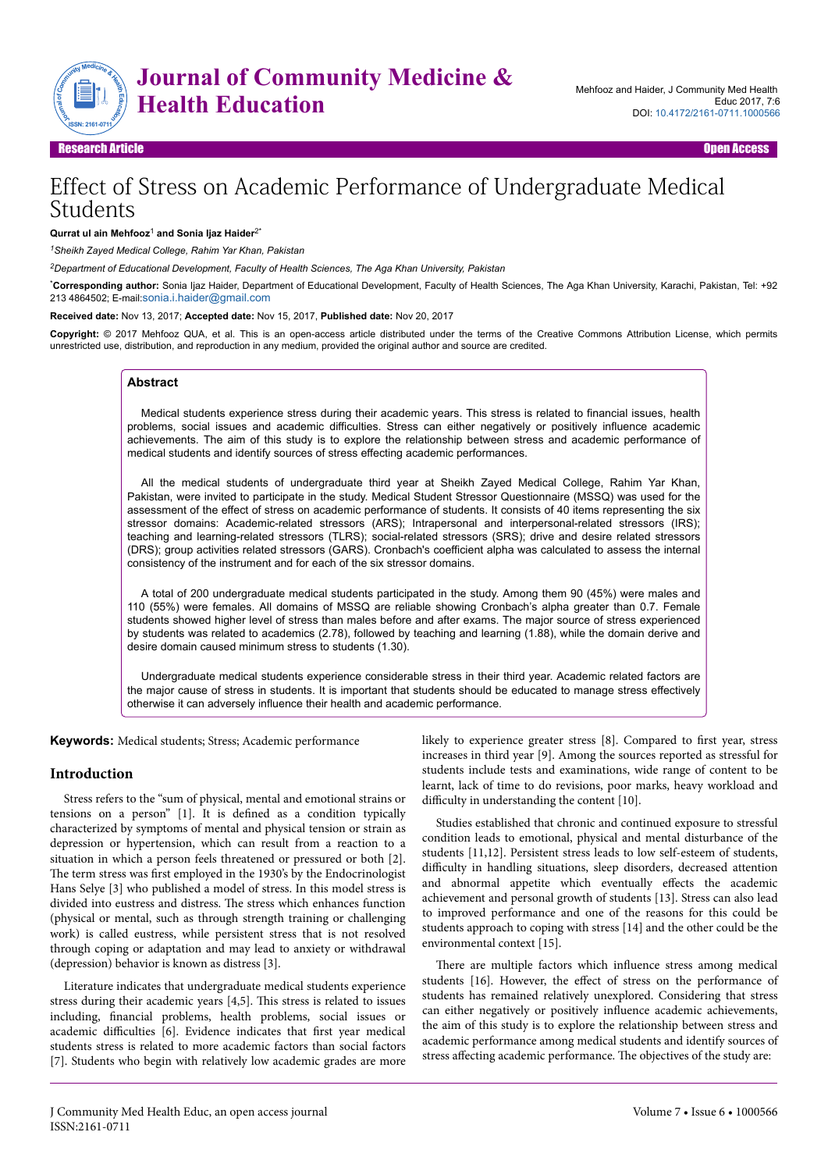

# Effect of Stress on Academic Performance of Undergraduate Medical Students

#### Qurrat ul ain Mehfooz<sup>1</sup> and Sonia Ijaz Haider<sup>2\*</sup>

*<sup>1</sup>Sheikh Zayed Medical College, Rahim Yar Khan, Pakistan*

*<sup>2</sup>Department of Educational Development, Faculty of Health Sciences, The Aga Khan University, Pakistan*

\***Corresponding author:** Sonia Ijaz Haider, Department of Educational Development, Faculty of Health Sciences, The Aga Khan University, Karachi, Pakistan, Tel: +92 213 4864502; E-mail:[sonia.i.haider@gmail.com](mailto:sonia.i.haider@gmail.com)

**Received date:** Nov 13, 2017; **Accepted date:** Nov 15, 2017, **Published date:** Nov 20, 2017

**Copyright:** © 2017 Mehfooz QUA, et al. This is an open-access article distributed under the terms of the Creative Commons Attribution License, which permits unrestricted use, distribution, and reproduction in any medium, provided the original author and source are credited.

## **Abstract**

Medical students experience stress during their academic years. This stress is related to financial issues, health problems, social issues and academic difficulties. Stress can either negatively or positively influence academic achievements. The aim of this study is to explore the relationship between stress and academic performance of medical students and identify sources of stress effecting academic performances.

All the medical students of undergraduate third year at Sheikh Zayed Medical College, Rahim Yar Khan, Pakistan, were invited to participate in the study. Medical Student Stressor Questionnaire (MSSQ) was used for the assessment of the effect of stress on academic performance of students. It consists of 40 items representing the six stressor domains: Academic-related stressors (ARS); Intrapersonal and interpersonal-related stressors (IRS); teaching and learning-related stressors (TLRS); social-related stressors (SRS); drive and desire related stressors (DRS); group activities related stressors (GARS). Cronbach's coefficient alpha was calculated to assess the internal consistency of the instrument and for each of the six stressor domains.

A total of 200 undergraduate medical students participated in the study. Among them 90 (45%) were males and 110 (55%) were females. All domains of MSSQ are reliable showing Cronbach's alpha greater than 0.7. Female students showed higher level of stress than males before and after exams. The major source of stress experienced by students was related to academics (2.78), followed by teaching and learning (1.88), while the domain derive and desire domain caused minimum stress to students (1.30).

Undergraduate medical students experience considerable stress in their third year. Academic related factors are the major cause of stress in students. It is important that students should be educated to manage stress effectively otherwise it can adversely influence their health and academic performance.

**Keywords:** Medical students; Stress; Academic performance

## **Introduction**

Stress refers to the "sum of physical, mental and emotional strains or tensions on a person" [1]. It is defined as a condition typically characterized by symptoms of mental and physical tension or strain as depression or hypertension, which can result from a reaction to a situation in which a person feels threatened or pressured or both [2]. The term stress was first employed in the 1930's by the Endocrinologist Hans Selye [3] who published a model of stress. In this model stress is divided into eustress and distress. Нe stress which enhances function (physical or mental, such as through strength training or challenging work) is called eustress, while persistent stress that is not resolved through coping or adaptation and may lead to anxiety or withdrawal (depression) behavior is known as distress [3].

Literature indicates that undergraduate medical students experience stress during their academic years [4,5]. Нis stress is related to issues including, financial problems, health problems, social issues or academic difficulties [6]. Evidence indicates that first year medical students stress is related to more academic factors than social factors [7]. Students who begin with relatively low academic grades are more likely to experience greater stress [8]. Compared to first year, stress increases in third year [9]. Among the sources reported as stressful for students include tests and examinations, wide range of content to be learnt, lack of time to do revisions, poor marks, heavy workload and difficulty in understanding the content [10].

Studies established that chronic and continued exposure to stressful condition leads to emotional, physical and mental disturbance of the students [11,12]. Persistent stress leads to low self-esteem of students, difficulty in handling situations, sleep disorders, decreased attention and abnormal appetite which eventually effects the academic achievement and personal growth of students [13]. Stress can also lead to improved performance and one of the reasons for this could be students approach to coping with stress [14] and the other could be the environmental context [15].

There are multiple factors which influence stress among medical students [16]. However, the effect of stress on the performance of students has remained relatively unexplored. Considering that stress can either negatively or positively influence academic achievements, the aim of this study is to explore the relationship between stress and academic performance among medical students and identify sources of stress affecting academic performance. The objectives of the study are: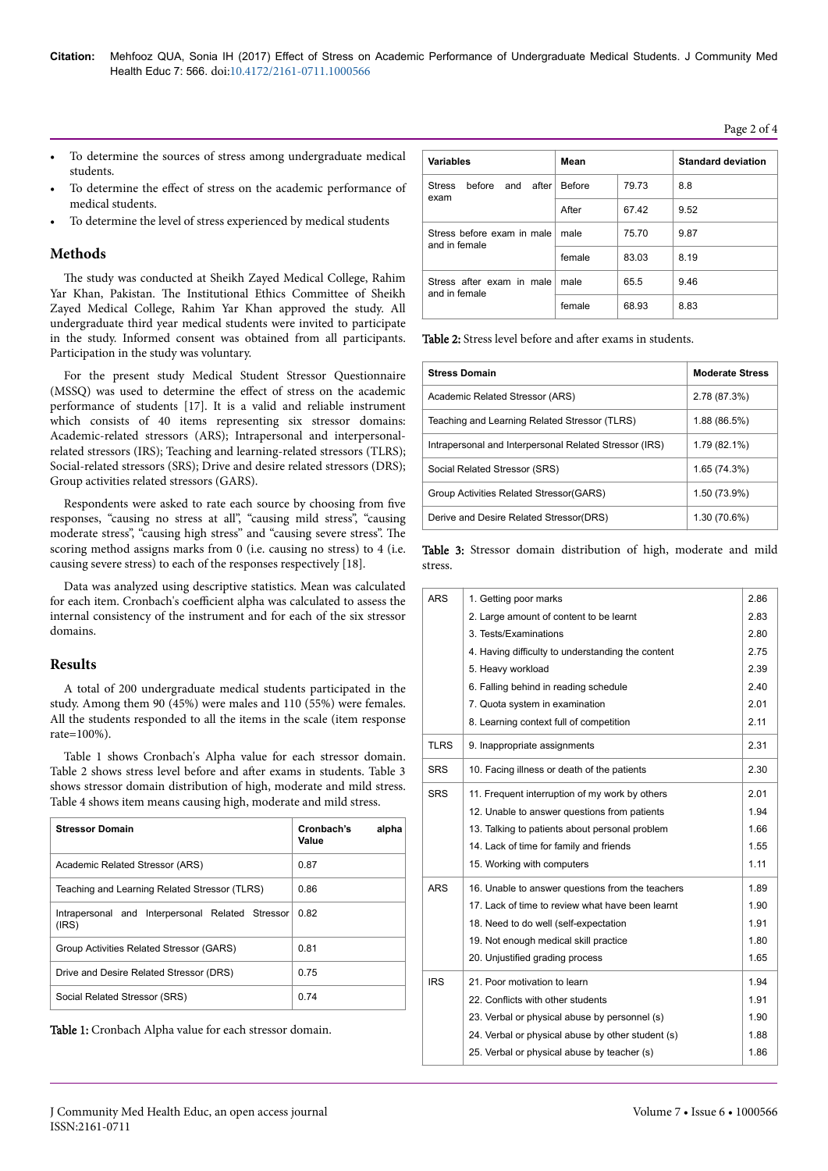- To determine the sources of stress among undergraduate medical students.
- To determine the effect of stress on the academic performance of medical students.
- To determine the level of stress experienced by medical students

# **Methods**

The study was conducted at Sheikh Zayed Medical College, Rahim Yar Khan, Pakistan. Нe Institutional Ethics Committee of Sheikh Zayed Medical College, Rahim Yar Khan approved the study. All undergraduate third year medical students were invited to participate in the study. Informed consent was obtained from all participants. Participation in the study was voluntary.

For the present study Medical Student Stressor Questionnaire (MSSQ) was used to determine the effect of stress on the academic performance of students [17]. It is a valid and reliable instrument which consists of 40 items representing six stressor domains: Academic-related stressors (ARS); Intrapersonal and interpersonalrelated stressors (IRS); Teaching and learning-related stressors (TLRS); Social-related stressors (SRS); Drive and desire related stressors (DRS); Group activities related stressors (GARS).

Respondents were asked to rate each source by choosing from five responses, "causing no stress at all'', "causing mild stress'', "causing moderate stress'', "causing high stress'' and "causing severe stress''. Нe scoring method assigns marks from 0 (i.e. causing no stress) to 4 (i.e. causing severe stress) to each of the responses respectively [18].

Data was analyzed using descriptive statistics. Mean was calculated for each item. Cronbach's coefficient alpha was calculated to assess the internal consistency of the instrument and for each of the six stressor domains.

# **Results**

A total of 200 undergraduate medical students participated in the study. Among them 90 (45%) were males and 110 (55%) were females. All the students responded to all the items in the scale (item response rate=100%).

Table 1 shows Cronbach's Alpha value for each stressor domain. Table 2 shows stress level before and after exams in students. Table 3 shows stressor domain distribution of high, moderate and mild stress. Table 4 shows item means causing high, moderate and mild stress.

| <b>Stressor Domain</b>                                    | Cronbach's<br>alpha<br>Value |
|-----------------------------------------------------------|------------------------------|
| Academic Related Stressor (ARS)                           | 0.87                         |
| Teaching and Learning Related Stressor (TLRS)             | 0.86                         |
| Intrapersonal and Interpersonal Related Stressor<br>(IRS) | 0.82                         |
| Group Activities Related Stressor (GARS)                  | 0.81                         |
| Drive and Desire Related Stressor (DRS)                   | 0.75                         |
| Social Related Stressor (SRS)                             | 0.74                         |

Table 1: Cronbach Alpha value for each stressor domain.

| <b>Variables</b>                                | Mean   |       | <b>Standard deviation</b> |
|-------------------------------------------------|--------|-------|---------------------------|
| before<br>and<br>after<br><b>Stress</b><br>exam | Before | 79.73 | 8.8                       |
|                                                 | After  | 67.42 | 9.52                      |
| Stress before exam in male<br>and in female     | male   | 75.70 | 9.87                      |
|                                                 | female | 83.03 | 8.19                      |
| Stress after exam in male<br>and in female      | male   | 65.5  | 9.46                      |
|                                                 | female | 68.93 | 8.83                      |

Table 2: Stress level before and after exams in students.

| <b>Stress Domain</b>                                   | <b>Moderate Stress</b> |
|--------------------------------------------------------|------------------------|
| Academic Related Stressor (ARS)                        | 2.78 (87.3%)           |
| Teaching and Learning Related Stressor (TLRS)          | 1.88 (86.5%)           |
| Intrapersonal and Interpersonal Related Stressor (IRS) | 1.79 (82.1%)           |
| Social Related Stressor (SRS)                          | 1.65 (74.3%)           |
| Group Activities Related Stressor (GARS)               | 1.50 (73.9%)           |
| Derive and Desire Related Stressor(DRS)                | 1.30 (70.6%)           |

Table 3: Stressor domain distribution of high, moderate and mild stress.

| 1. Getting poor marks                             | 2.86 |
|---------------------------------------------------|------|
| 2. Large amount of content to be learnt           | 2.83 |
| 3. Tests/Examinations                             | 2.80 |
| 4. Having difficulty to understanding the content | 2.75 |
| 5. Heavy workload                                 | 2.39 |
| 6. Falling behind in reading schedule             | 2.40 |
| 7. Quota system in examination                    | 2.01 |
| 8. Learning context full of competition           | 2.11 |
| 9. Inappropriate assignments                      | 2.31 |
| 10. Facing illness or death of the patients       | 2.30 |
| 11. Frequent interruption of my work by others    | 2.01 |
| 12. Unable to answer questions from patients      | 1.94 |
| 13. Talking to patients about personal problem    | 1.66 |
| 14. Lack of time for family and friends           | 1.55 |
| 15. Working with computers                        | 1.11 |
| 16. Unable to answer questions from the teachers  | 1.89 |
| 17. Lack of time to review what have been learnt  | 1.90 |
| 18. Need to do well (self-expectation             | 1.91 |
| 19. Not enough medical skill practice             | 1.80 |
| 20. Unjustified grading process                   | 1.65 |
| 21. Poor motivation to learn                      | 1.94 |
| 22. Conflicts with other students                 | 1.91 |
| 23. Verbal or physical abuse by personnel (s)     | 1.90 |
| 24. Verbal or physical abuse by other student (s) | 1.88 |
| 25. Verbal or physical abuse by teacher (s)       | 1.86 |
|                                                   |      |

#### Page 2 of 4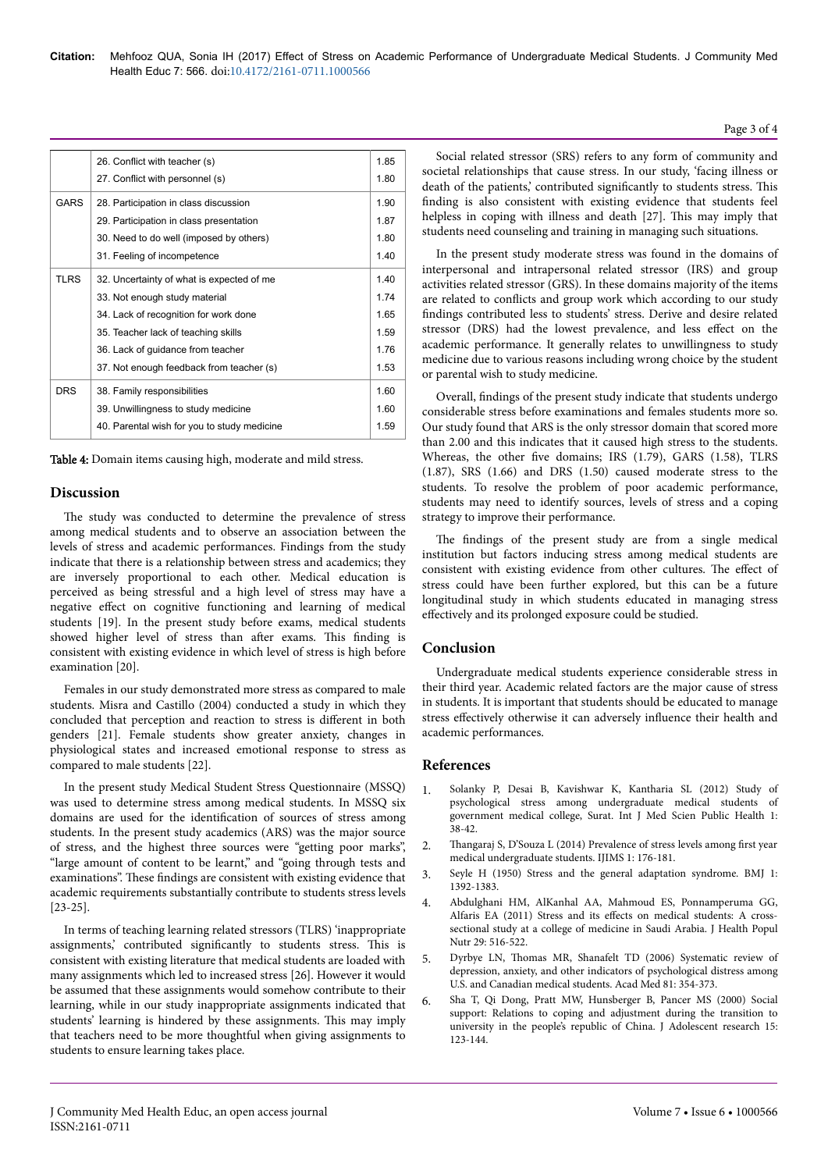|             | 26. Conflict with teacher (s)               | 1.85 |
|-------------|---------------------------------------------|------|
|             | 27. Conflict with personnel (s)             | 1.80 |
| <b>GARS</b> | 28. Participation in class discussion       | 1.90 |
|             | 29. Participation in class presentation     | 1.87 |
|             | 30. Need to do well (imposed by others)     | 1.80 |
|             | 31. Feeling of incompetence                 | 1.40 |
| TI RS       | 32. Uncertainty of what is expected of me   | 140  |
|             | 33. Not enough study material               | 1.74 |
|             | 34. Lack of recognition for work done       | 1.65 |
|             | 35. Teacher lack of teaching skills         | 1.59 |
|             | 36. Lack of guidance from teacher           | 176  |
|             | 37. Not enough feedback from teacher (s)    | 1.53 |
| <b>DRS</b>  | 38. Family responsibilities                 | 1.60 |
|             | 39. Unwillingness to study medicine         | 1.60 |
|             | 40. Parental wish for you to study medicine | 1.59 |

Table 4: Domain items causing high, moderate and mild stress.

# **Discussion**

The study was conducted to determine the prevalence of stress among medical students and to observe an association between the levels of stress and academic performances. Findings from the study indicate that there is a relationship between stress and academics; they are inversely proportional to each other. Medical education is perceived as being stressful and a high level of stress may have a negative effect on cognitive functioning and learning of medical students [19]. In the present study before exams, medical students showed higher level of stress than after exams. This finding is consistent with existing evidence in which level of stress is high before examination [20].

Females in our study demonstrated more stress as compared to male students. Misra and Castillo (2004) conducted a study in which they concluded that perception and reaction to stress is different in both genders [21]. Female students show greater anxiety, changes in physiological states and increased emotional response to stress as compared to male students [22].

In the present study Medical Student Stress Questionnaire (MSSQ) was used to determine stress among medical students. In MSSQ six domains are used for the identification of sources of stress among students. In the present study academics (ARS) was the major source of stress, and the highest three sources were "getting poor marks", "large amount of content to be learnt," and "going through tests and examinations". These findings are consistent with existing evidence that academic requirements substantially contribute to students stress levels [23-25].

In terms of teaching learning related stressors (TLRS) 'inappropriate assignments,' contributed significantly to students stress. This is consistent with existing literature that medical students are loaded with many assignments which led to increased stress [26]. However it would be assumed that these assignments would somehow contribute to their learning, while in our study inappropriate assignments indicated that students' learning is hindered by these assignments. Нis may imply that teachers need to be more thoughtful when giving assignments to students to ensure learning takes place.

Social related stressor (SRS) refers to any form of community and societal relationships that cause stress. In our study, 'facing illness or death of the patients,' contributed significantly to students stress. This finding is also consistent with existing evidence that students feel helpless in coping with illness and death [27]. Нis may imply that students need counseling and training in managing such situations.

In the present study moderate stress was found in the domains of interpersonal and intrapersonal related stressor (IRS) and group activities related stressor (GRS). In these domains majority of the items are related to conflicts and group work which according to our study findings contributed less to students' stress. Derive and desire related stressor (DRS) had the lowest prevalence, and less effect on the academic performance. It generally relates to unwillingness to study medicine due to various reasons including wrong choice by the student or parental wish to study medicine.

Overall, findings of the present study indicate that students undergo considerable stress before examinations and females students more so. Our study found that ARS is the only stressor domain that scored more than 2.00 and this indicates that it caused high stress to the students. Whereas, the other five domains; IRS (1.79), GARS (1.58), TLRS (1.87), SRS (1.66) and DRS (1.50) caused moderate stress to the students. To resolve the problem of poor academic performance, students may need to identify sources, levels of stress and a coping strategy to improve their performance.

The findings of the present study are from a single medical institution but factors inducing stress among medical students are consistent with existing evidence from other cultures. The effect of stress could have been further explored, but this can be a future longitudinal study in which students educated in managing stress effectively and its prolonged exposure could be studied.

### **Conclusion**

Undergraduate medical students experience considerable stress in their third year. Academic related factors are the major cause of stress in students. It is important that students should be educated to manage stress effectively otherwise it can adversely influence their health and academic performances.

### **References**

- 1. [Solanky P, Desai B, Kavishwar K, Kantharia SL \(2012\) Study of](http://dx.doi.org/10.5455/ijmsph.2012.1.38-42) [psychological stress among undergraduate medical students of](http://dx.doi.org/10.5455/ijmsph.2012.1.38-42) [government medical college, Surat. Int J Med Scien Public Health 1:](http://dx.doi.org/10.5455/ijmsph.2012.1.38-42) [38-42.](http://dx.doi.org/10.5455/ijmsph.2012.1.38-42)
- 2. Thangaraj [S, D'Souza L \(2014\) Prevalence of stress levels among](http://www.ijims.com/uploads/8db9f0fe3fbcbd8fdcd4zppd_577.pdf) first year [medical undergraduate students. IJIMS 1: 176-181.](http://www.ijims.com/uploads/8db9f0fe3fbcbd8fdcd4zppd_577.pdf)
- 3. [Seyle H \(1950\) Stress and the general adaptation syndrome. BMJ 1:](https://doi.org/10.1136/bmj.1.4667.1383) [1392-1383.](https://doi.org/10.1136/bmj.1.4667.1383)
- 4. [Abdulghani HM, AlKanhal AA, Mahmoud ES, Ponnamperuma GG,](https://doi.org/10.3329/jhpn.v29i5.8906) [Alfaris EA \(2011\) Stress and its](https://doi.org/10.3329/jhpn.v29i5.8906) effects on medical students: A cross[sectional study at a college of medicine in Saudi Arabia. J Health Popul](https://doi.org/10.3329/jhpn.v29i5.8906) [Nutr 29: 516-522.](https://doi.org/10.3329/jhpn.v29i5.8906)
- 5. Dyrbye LN, Thomas [MR, Shanafelt TD \(2006\) Systematic review of](http://journals.lww.com/academicmedicine/Fulltext/2006/04000/Systematic_Review_of_Depression,_Anxiety,_and.9.aspx) [depression, anxiety, and other indicators of psychological distress among](http://journals.lww.com/academicmedicine/Fulltext/2006/04000/Systematic_Review_of_Depression,_Anxiety,_and.9.aspx) [U.S. and Canadian medical students. Acad Med 81: 354-373.](http://journals.lww.com/academicmedicine/Fulltext/2006/04000/Systematic_Review_of_Depression,_Anxiety,_and.9.aspx)
- 6. [Sha T, Qi Dong, Pratt MW, Hunsberger B, Pancer MS \(2000\) Social](https://doi.org/10.1177/0743558400151007) [support: Relations to coping and adjustment during the transition to](https://doi.org/10.1177/0743558400151007) [university in the people's republic of China. J Adolescent research 15:](https://doi.org/10.1177/0743558400151007) [123-144.](https://doi.org/10.1177/0743558400151007)

Page 3 of 4